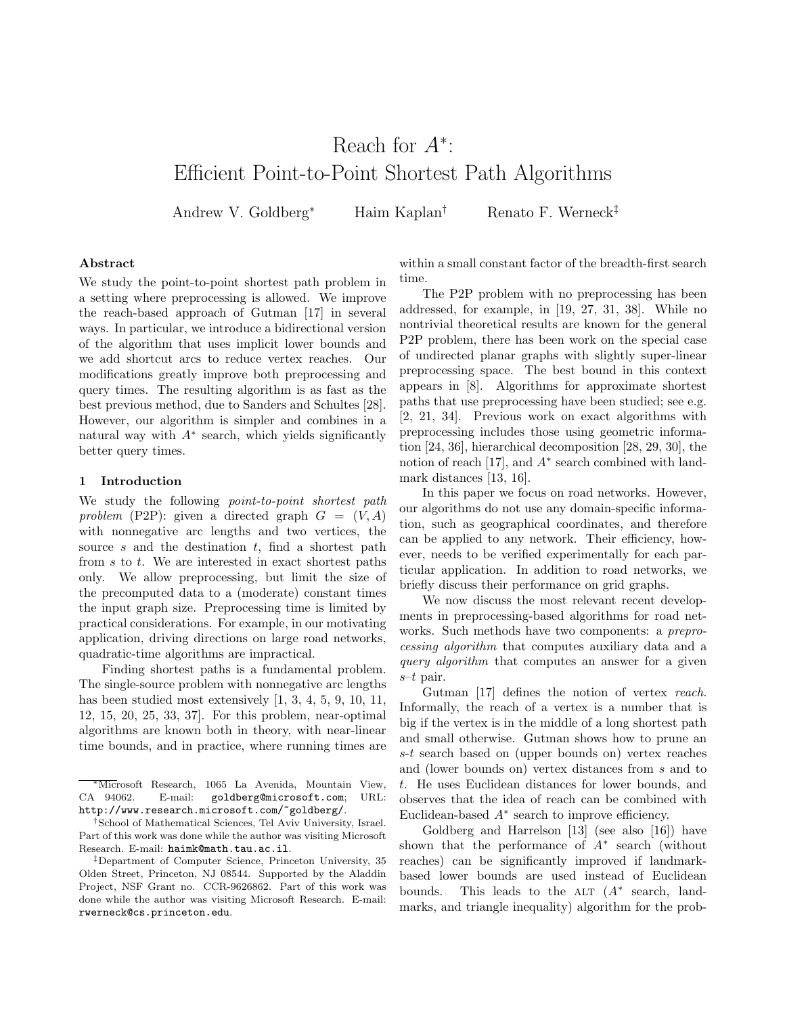# Reach for  $A^*$ : Efficient Point-to-Point Shortest Path Algorithms

Andrew V. Goldberg<sup>∗</sup> Haim Kaplan<sup>†</sup>

Renato F. Werneck<sup>‡</sup>

#### Abstract

We study the point-to-point shortest path problem in a setting where preprocessing is allowed. We improve the reach-based approach of Gutman [17] in several ways. In particular, we introduce a bidirectional version of the algorithm that uses implicit lower bounds and we add shortcut arcs to reduce vertex reaches. Our modifications greatly improve both preprocessing and query times. The resulting algorithm is as fast as the best previous method, due to Sanders and Schultes [28]. However, our algorithm is simpler and combines in a natural way with A<sup>∗</sup> search, which yields significantly better query times.

## 1 Introduction

We study the following *point-to-point shortest path* problem (P2P): given a directed graph  $G = (V, A)$ with nonnegative arc lengths and two vertices, the source s and the destination  $t$ , find a shortest path from s to t. We are interested in exact shortest paths only. We allow preprocessing, but limit the size of the precomputed data to a (moderate) constant times the input graph size. Preprocessing time is limited by practical considerations. For example, in our motivating application, driving directions on large road networks, quadratic-time algorithms are impractical.

Finding shortest paths is a fundamental problem. The single-source problem with nonnegative arc lengths has been studied most extensively [1, 3, 4, 5, 9, 10, 11, 12, 15, 20, 25, 33, 37]. For this problem, near-optimal algorithms are known both in theory, with near-linear time bounds, and in practice, where running times are

<sup>∗</sup>Microsoft Research, 1065 La Avenida, Mountain View, CA 94062. E-mail: goldberg@microsoft.com; URL: http://www.research.microsoft.com/~goldberg/.

‡Department of Computer Science, Princeton University, 35 Olden Street, Princeton, NJ 08544. Supported by the Aladdin Project, NSF Grant no. CCR-9626862. Part of this work was done while the author was visiting Microsoft Research. E-mail: rwerneck@cs.princeton.edu.

within a small constant factor of the breadth-first search time.

The P2P problem with no preprocessing has been addressed, for example, in [19, 27, 31, 38]. While no nontrivial theoretical results are known for the general P2P problem, there has been work on the special case of undirected planar graphs with slightly super-linear preprocessing space. The best bound in this context appears in [8]. Algorithms for approximate shortest paths that use preprocessing have been studied; see e.g. [2, 21, 34]. Previous work on exact algorithms with preprocessing includes those using geometric information [24, 36], hierarchical decomposition [28, 29, 30], the notion of reach  $[17]$ , and  $A^*$  search combined with landmark distances [13, 16].

In this paper we focus on road networks. However, our algorithms do not use any domain-specific information, such as geographical coordinates, and therefore can be applied to any network. Their efficiency, however, needs to be verified experimentally for each particular application. In addition to road networks, we briefly discuss their performance on grid graphs.

We now discuss the most relevant recent developments in preprocessing-based algorithms for road networks. Such methods have two components: a preprocessing algorithm that computes auxiliary data and a query algorithm that computes an answer for a given s–t pair.

Gutman [17] defines the notion of vertex reach. Informally, the reach of a vertex is a number that is big if the vertex is in the middle of a long shortest path and small otherwise. Gutman shows how to prune an s-t search based on (upper bounds on) vertex reaches and (lower bounds on) vertex distances from s and to t. He uses Euclidean distances for lower bounds, and observes that the idea of reach can be combined with Euclidean-based  $A^*$  search to improve efficiency.

Goldberg and Harrelson [13] (see also [16]) have shown that the performance of  $A^*$  search (without reaches) can be significantly improved if landmarkbased lower bounds are used instead of Euclidean bounds. This leads to the ALT  $(A^*$  search, landmarks, and triangle inequality) algorithm for the prob-

<sup>†</sup>School of Mathematical Sciences, Tel Aviv University, Israel. Part of this work was done while the author was visiting Microsoft Research. E-mail: haimk@math.tau.ac.il.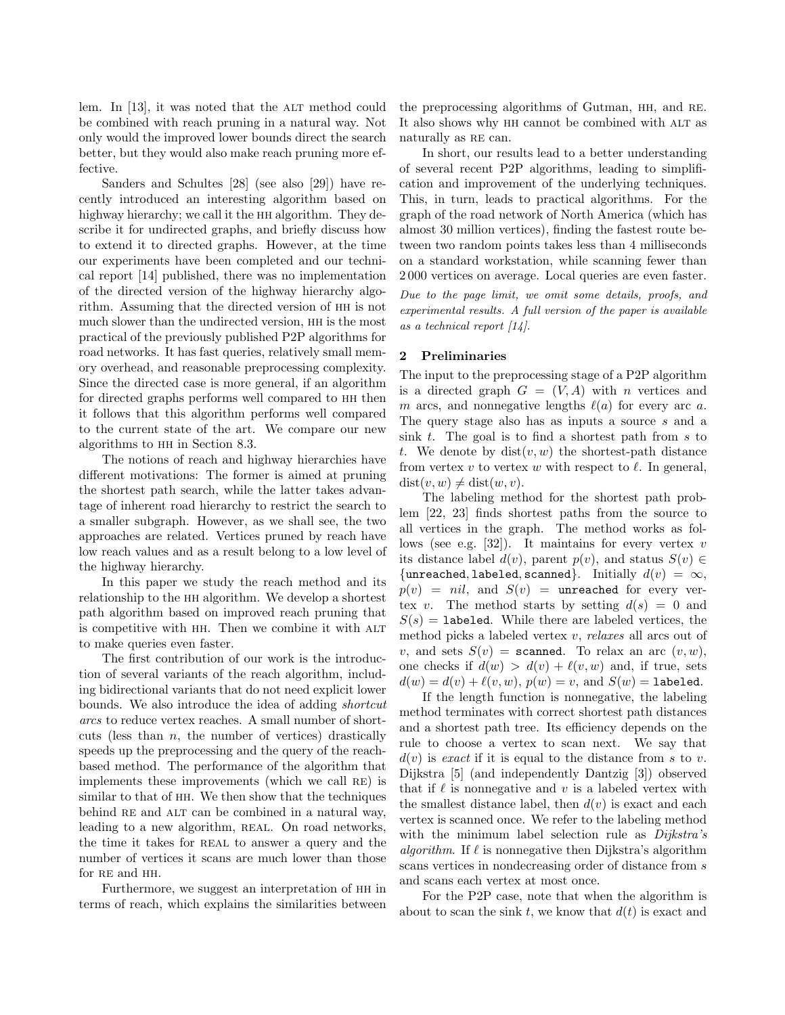lem. In [13], it was noted that the ALT method could be combined with reach pruning in a natural way. Not only would the improved lower bounds direct the search better, but they would also make reach pruning more effective.

Sanders and Schultes [28] (see also [29]) have recently introduced an interesting algorithm based on highway hierarchy; we call it the HH algorithm. They describe it for undirected graphs, and briefly discuss how to extend it to directed graphs. However, at the time our experiments have been completed and our technical report [14] published, there was no implementation of the directed version of the highway hierarchy algorithm. Assuming that the directed version of hh is not much slower than the undirected version,  $HH$  is the most practical of the previously published P2P algorithms for road networks. It has fast queries, relatively small memory overhead, and reasonable preprocessing complexity. Since the directed case is more general, if an algorithm for directed graphs performs well compared to  $HH$  then it follows that this algorithm performs well compared to the current state of the art. We compare our new algorithms to HH in Section 8.3.

The notions of reach and highway hierarchies have different motivations: The former is aimed at pruning the shortest path search, while the latter takes advantage of inherent road hierarchy to restrict the search to a smaller subgraph. However, as we shall see, the two approaches are related. Vertices pruned by reach have low reach values and as a result belong to a low level of the highway hierarchy.

In this paper we study the reach method and its relationship to the hh algorithm. We develop a shortest path algorithm based on improved reach pruning that is competitive with hh. Then we combine it with alt to make queries even faster.

The first contribution of our work is the introduction of several variants of the reach algorithm, including bidirectional variants that do not need explicit lower bounds. We also introduce the idea of adding shortcut arcs to reduce vertex reaches. A small number of shortcuts (less than  $n$ , the number of vertices) drastically speeds up the preprocessing and the query of the reachbased method. The performance of the algorithm that implements these improvements (which we call re) is similar to that of HH. We then show that the techniques behind RE and ALT can be combined in a natural way, leading to a new algorithm, REAL. On road networks, the time it takes for REAL to answer a query and the number of vertices it scans are much lower than those for RE and HH.

Furthermore, we suggest an interpretation of hh in terms of reach, which explains the similarities between the preprocessing algorithms of Gutman,  $HH$ , and RE. It also shows why HH cannot be combined with ALT as naturally as RE can.

In short, our results lead to a better understanding of several recent P2P algorithms, leading to simplification and improvement of the underlying techniques. This, in turn, leads to practical algorithms. For the graph of the road network of North America (which has almost 30 million vertices), finding the fastest route between two random points takes less than 4 milliseconds on a standard workstation, while scanning fewer than 2 000 vertices on average. Local queries are even faster.

Due to the page limit, we omit some details, proofs, and experimental results. A full version of the paper is available as a technical report [14].

## 2 Preliminaries

The input to the preprocessing stage of a P2P algorithm is a directed graph  $G = (V, A)$  with *n* vertices and m arcs, and nonnegative lengths  $\ell(a)$  for every arc a. The query stage also has as inputs a source s and a sink  $t$ . The goal is to find a shortest path from  $s$  to t. We denote by  $dist(v, w)$  the shortest-path distance from vertex v to vertex w with respect to  $\ell$ . In general,  $dist(v, w) \neq dist(w, v).$ 

The labeling method for the shortest path problem [22, 23] finds shortest paths from the source to all vertices in the graph. The method works as follows (see e.g.  $[32]$ ). It maintains for every vertex v its distance label  $d(v)$ , parent  $p(v)$ , and status  $S(v) \in$ {unreached, labeled, scanned}. Initially  $d(v) = \infty$ ,  $p(v) = nil$ , and  $S(v) =$  unreached for every vertex v. The method starts by setting  $d(s) = 0$  and  $S(s)$  = labeled. While there are labeled vertices, the method picks a labeled vertex  $v$ , *relaxes* all arcs out of v, and sets  $S(v) =$  scanned. To relax an arc  $(v, w)$ , one checks if  $d(w) > d(v) + \ell(v, w)$  and, if true, sets  $d(w) = d(v) + \ell(v, w), p(w) = v$ , and  $S(w) =$  labeled.

If the length function is nonnegative, the labeling method terminates with correct shortest path distances and a shortest path tree. Its efficiency depends on the rule to choose a vertex to scan next. We say that  $d(v)$  is exact if it is equal to the distance from s to v. Dijkstra [5] (and independently Dantzig [3]) observed that if  $\ell$  is nonnegative and v is a labeled vertex with the smallest distance label, then  $d(v)$  is exact and each vertex is scanned once. We refer to the labeling method with the minimum label selection rule as *Dijkstra's* algorithm. If  $\ell$  is nonnegative then Dijkstra's algorithm scans vertices in nondecreasing order of distance from s and scans each vertex at most once.

For the P2P case, note that when the algorithm is about to scan the sink t, we know that  $d(t)$  is exact and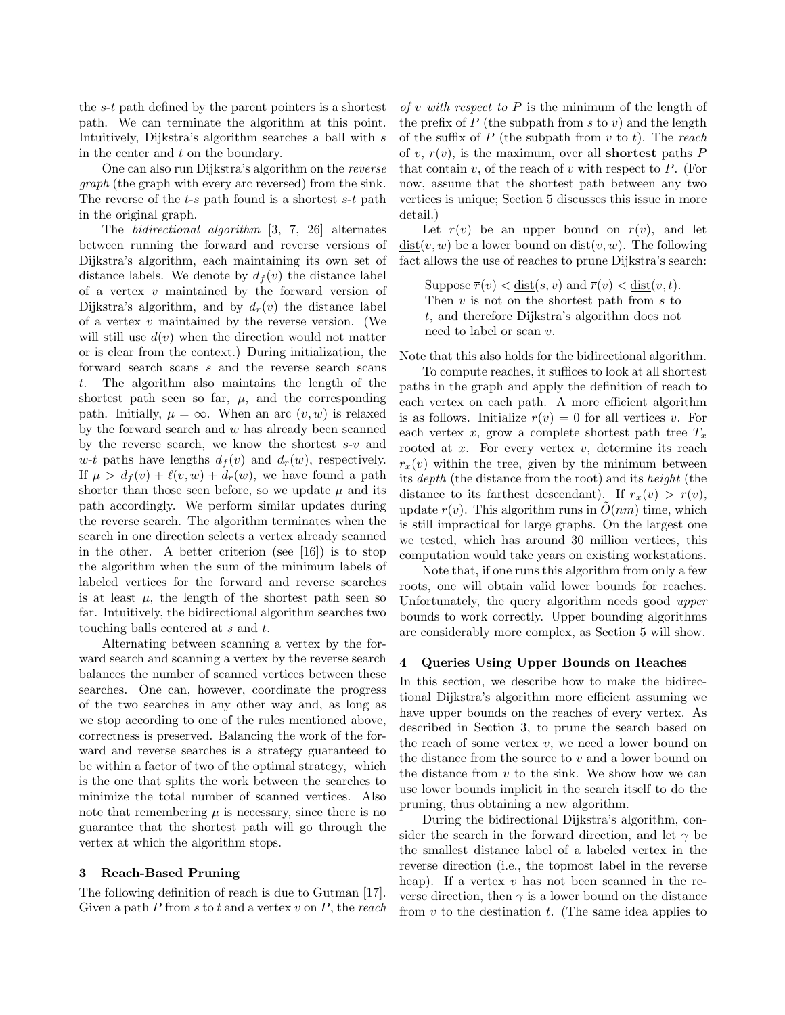the s-t path defined by the parent pointers is a shortest path. We can terminate the algorithm at this point. Intuitively, Dijkstra's algorithm searches a ball with s in the center and  $t$  on the boundary.

One can also run Dijkstra's algorithm on the reverse graph (the graph with every arc reversed) from the sink. The reverse of the  $t-s$  path found is a shortest  $s-t$  path in the original graph.

The bidirectional algorithm [3, 7, 26] alternates between running the forward and reverse versions of Dijkstra's algorithm, each maintaining its own set of distance labels. We denote by  $d_f(v)$  the distance label of a vertex v maintained by the forward version of Dijkstra's algorithm, and by  $d_r(v)$  the distance label of a vertex  $v$  maintained by the reverse version. (We will still use  $d(v)$  when the direction would not matter or is clear from the context.) During initialization, the forward search scans s and the reverse search scans t. The algorithm also maintains the length of the shortest path seen so far,  $\mu$ , and the corresponding path. Initially,  $\mu = \infty$ . When an arc  $(v, w)$  is relaxed by the forward search and  $w$  has already been scanned by the reverse search, we know the shortest  $s-v$  and w-t paths have lengths  $d_f(v)$  and  $d_r(w)$ , respectively. If  $\mu > d_f(v) + \ell(v, w) + d_r(w)$ , we have found a path shorter than those seen before, so we update  $\mu$  and its path accordingly. We perform similar updates during the reverse search. The algorithm terminates when the search in one direction selects a vertex already scanned in the other. A better criterion (see [16]) is to stop the algorithm when the sum of the minimum labels of labeled vertices for the forward and reverse searches is at least  $\mu$ , the length of the shortest path seen so far. Intuitively, the bidirectional algorithm searches two touching balls centered at s and t.

Alternating between scanning a vertex by the forward search and scanning a vertex by the reverse search balances the number of scanned vertices between these searches. One can, however, coordinate the progress of the two searches in any other way and, as long as we stop according to one of the rules mentioned above, correctness is preserved. Balancing the work of the forward and reverse searches is a strategy guaranteed to be within a factor of two of the optimal strategy, which is the one that splits the work between the searches to minimize the total number of scanned vertices. Also note that remembering  $\mu$  is necessary, since there is no guarantee that the shortest path will go through the vertex at which the algorithm stops.

### 3 Reach-Based Pruning

The following definition of reach is due to Gutman [17]. Given a path  $P$  from  $s$  to  $t$  and a vertex  $v$  on  $P$ , the reach

of v with respect to P is the minimum of the length of the prefix of  $P$  (the subpath from  $s$  to  $v$ ) and the length of the suffix of P (the subpath from v to t). The reach of v,  $r(v)$ , is the maximum, over all **shortest** paths P that contain  $v$ , of the reach of  $v$  with respect to  $P$ . (For now, assume that the shortest path between any two vertices is unique; Section 5 discusses this issue in more detail.)

Let  $\overline{r}(v)$  be an upper bound on  $r(v)$ , and let  $dist(v, w)$  be a lower bound on  $dist(v, w)$ . The following fact allows the use of reaches to prune Dijkstra's search:

Suppose  $\overline{r}(v) < \text{dist}(s, v)$  and  $\overline{r}(v) < \text{dist}(v, t)$ . Then v is not on the shortest path from s to t, and therefore Dijkstra's algorithm does not need to label or scan v.

Note that this also holds for the bidirectional algorithm.

To compute reaches, it suffices to look at all shortest paths in the graph and apply the definition of reach to each vertex on each path. A more efficient algorithm is as follows. Initialize  $r(v) = 0$  for all vertices v. For each vertex x, grow a complete shortest path tree  $T_x$ rooted at  $x$ . For every vertex  $v$ , determine its reach  $r_x(v)$  within the tree, given by the minimum between its depth (the distance from the root) and its height (the distance to its farthest descendant). If  $r_x(v) > r(v)$ , update  $r(v)$ . This algorithm runs in  $O(nm)$  time, which is still impractical for large graphs. On the largest one we tested, which has around 30 million vertices, this computation would take years on existing workstations.

Note that, if one runs this algorithm from only a few roots, one will obtain valid lower bounds for reaches. Unfortunately, the query algorithm needs good upper bounds to work correctly. Upper bounding algorithms are considerably more complex, as Section 5 will show.

## 4 Queries Using Upper Bounds on Reaches

In this section, we describe how to make the bidirectional Dijkstra's algorithm more efficient assuming we have upper bounds on the reaches of every vertex. As described in Section 3, to prune the search based on the reach of some vertex  $v$ , we need a lower bound on the distance from the source to  $v$  and a lower bound on the distance from  $v$  to the sink. We show how we can use lower bounds implicit in the search itself to do the pruning, thus obtaining a new algorithm.

During the bidirectional Dijkstra's algorithm, consider the search in the forward direction, and let  $\gamma$  be the smallest distance label of a labeled vertex in the reverse direction (i.e., the topmost label in the reverse heap). If a vertex  $v$  has not been scanned in the reverse direction, then  $\gamma$  is a lower bound on the distance from  $v$  to the destination  $t$ . (The same idea applies to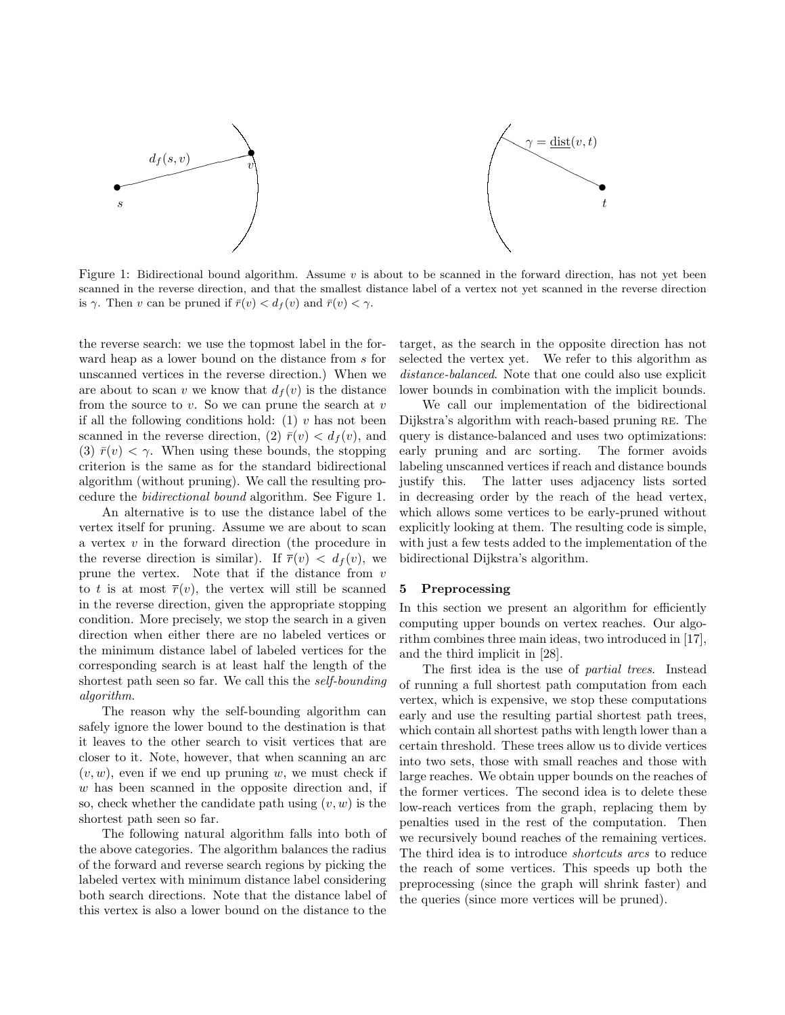

Figure 1: Bidirectional bound algorithm. Assume  $v$  is about to be scanned in the forward direction, has not yet been scanned in the reverse direction, and that the smallest distance label of a vertex not yet scanned in the reverse direction is  $\gamma$ . Then v can be pruned if  $\bar{r}(v) < d_f(v)$  and  $\bar{r}(v) < \gamma$ .

the reverse search: we use the topmost label in the forward heap as a lower bound on the distance from s for unscanned vertices in the reverse direction.) When we are about to scan v we know that  $d_f(v)$  is the distance from the source to  $v$ . So we can prune the search at  $v$ if all the following conditions hold: (1)  $v$  has not been scanned in the reverse direction, (2)  $\bar{r}(v) < d_f(v)$ , and (3)  $\bar{r}(v) < \gamma$ . When using these bounds, the stopping criterion is the same as for the standard bidirectional algorithm (without pruning). We call the resulting procedure the bidirectional bound algorithm. See Figure 1.

An alternative is to use the distance label of the vertex itself for pruning. Assume we are about to scan a vertex  $v$  in the forward direction (the procedure in the reverse direction is similar). If  $\overline{r}(v) < d_f(v)$ , we prune the vertex. Note that if the distance from  $v$ to t is at most  $\overline{r}(v)$ , the vertex will still be scanned in the reverse direction, given the appropriate stopping condition. More precisely, we stop the search in a given direction when either there are no labeled vertices or the minimum distance label of labeled vertices for the corresponding search is at least half the length of the shortest path seen so far. We call this the self-bounding algorithm.

The reason why the self-bounding algorithm can safely ignore the lower bound to the destination is that it leaves to the other search to visit vertices that are closer to it. Note, however, that when scanning an arc  $(v, w)$ , even if we end up pruning w, we must check if  $w$  has been scanned in the opposite direction and, if so, check whether the candidate path using  $(v, w)$  is the shortest path seen so far.

The following natural algorithm falls into both of the above categories. The algorithm balances the radius of the forward and reverse search regions by picking the labeled vertex with minimum distance label considering both search directions. Note that the distance label of this vertex is also a lower bound on the distance to the

target, as the search in the opposite direction has not selected the vertex yet. We refer to this algorithm as distance-balanced. Note that one could also use explicit lower bounds in combination with the implicit bounds.

We call our implementation of the bidirectional Dijkstra's algorithm with reach-based pruning re. The query is distance-balanced and uses two optimizations: early pruning and arc sorting. The former avoids labeling unscanned vertices if reach and distance bounds justify this. The latter uses adjacency lists sorted in decreasing order by the reach of the head vertex, which allows some vertices to be early-pruned without explicitly looking at them. The resulting code is simple, with just a few tests added to the implementation of the bidirectional Dijkstra's algorithm.

# 5 Preprocessing

In this section we present an algorithm for efficiently computing upper bounds on vertex reaches. Our algorithm combines three main ideas, two introduced in [17], and the third implicit in [28].

The first idea is the use of *partial trees*. Instead of running a full shortest path computation from each vertex, which is expensive, we stop these computations early and use the resulting partial shortest path trees, which contain all shortest paths with length lower than a certain threshold. These trees allow us to divide vertices into two sets, those with small reaches and those with large reaches. We obtain upper bounds on the reaches of the former vertices. The second idea is to delete these low-reach vertices from the graph, replacing them by penalties used in the rest of the computation. Then we recursively bound reaches of the remaining vertices. The third idea is to introduce shortcuts arcs to reduce the reach of some vertices. This speeds up both the preprocessing (since the graph will shrink faster) and the queries (since more vertices will be pruned).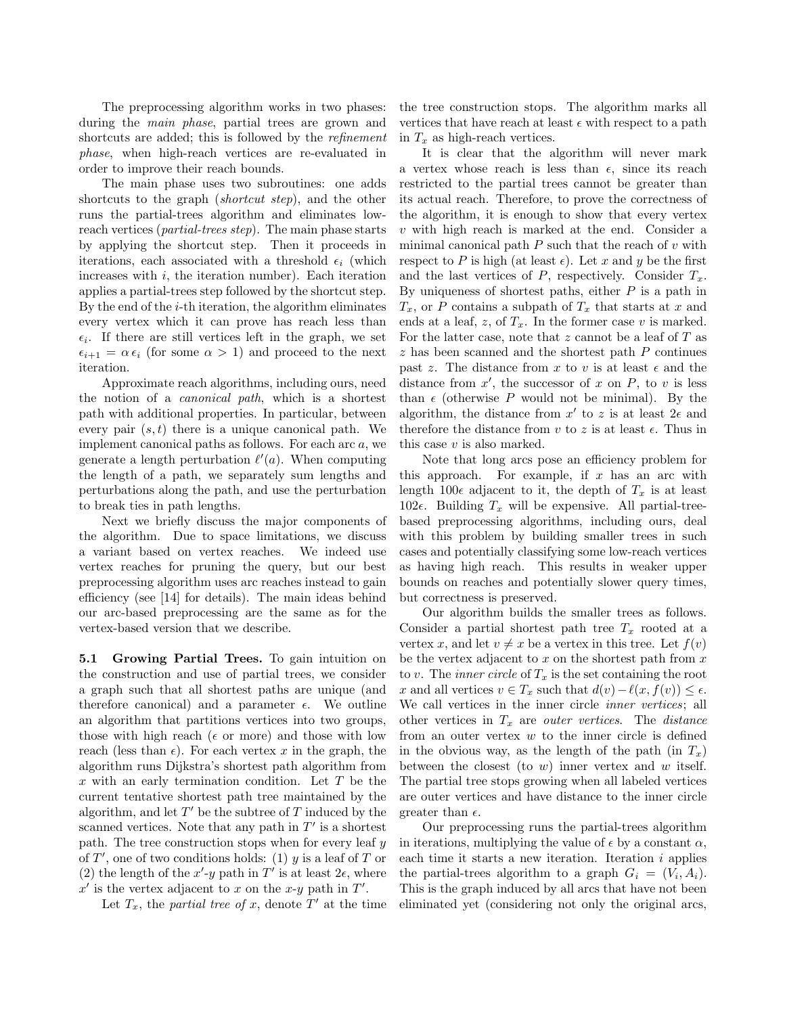The preprocessing algorithm works in two phases: during the *main phase*, partial trees are grown and shortcuts are added; this is followed by the *refinement* phase, when high-reach vertices are re-evaluated in order to improve their reach bounds.

The main phase uses two subroutines: one adds shortcuts to the graph *(shortcut step)*, and the other runs the partial-trees algorithm and eliminates lowreach vertices (partial-trees step). The main phase starts by applying the shortcut step. Then it proceeds in iterations, each associated with a threshold  $\epsilon_i$  (which increases with  $i$ , the iteration number). Each iteration applies a partial-trees step followed by the shortcut step. By the end of the  $i$ -th iteration, the algorithm eliminates every vertex which it can prove has reach less than  $\epsilon_i$ . If there are still vertices left in the graph, we set  $\epsilon_{i+1} = \alpha \epsilon_i$  (for some  $\alpha > 1$ ) and proceed to the next iteration.

Approximate reach algorithms, including ours, need the notion of a canonical path, which is a shortest path with additional properties. In particular, between every pair  $(s,t)$  there is a unique canonical path. We implement canonical paths as follows. For each arc a, we generate a length perturbation  $\ell'(a)$ . When computing the length of a path, we separately sum lengths and perturbations along the path, and use the perturbation to break ties in path lengths.

Next we briefly discuss the major components of the algorithm. Due to space limitations, we discuss a variant based on vertex reaches. We indeed use vertex reaches for pruning the query, but our best preprocessing algorithm uses arc reaches instead to gain efficiency (see [14] for details). The main ideas behind our arc-based preprocessing are the same as for the vertex-based version that we describe.

5.1 Growing Partial Trees. To gain intuition on the construction and use of partial trees, we consider a graph such that all shortest paths are unique (and therefore canonical) and a parameter  $\epsilon$ . We outline an algorithm that partitions vertices into two groups, those with high reach ( $\epsilon$  or more) and those with low reach (less than  $\epsilon$ ). For each vertex x in the graph, the algorithm runs Dijkstra's shortest path algorithm from  $x$  with an early termination condition. Let  $T$  be the current tentative shortest path tree maintained by the algorithm, and let  $T'$  be the subtree of  $T$  induced by the scanned vertices. Note that any path in  $T'$  is a shortest path. The tree construction stops when for every leaf  $y$ of  $T'$ , one of two conditions holds: (1) y is a leaf of T or (2) the length of the x'-y path in T' is at least  $2\epsilon$ , where  $x'$  is the vertex adjacent to x on the x-y path in  $T'$ .

Let  $T_x$ , the *partial tree of x*, denote T' at the time

the tree construction stops. The algorithm marks all vertices that have reach at least  $\epsilon$  with respect to a path in  $T_x$  as high-reach vertices.

It is clear that the algorithm will never mark a vertex whose reach is less than  $\epsilon$ , since its reach restricted to the partial trees cannot be greater than its actual reach. Therefore, to prove the correctness of the algorithm, it is enough to show that every vertex  $v$  with high reach is marked at the end. Consider a minimal canonical path  $P$  such that the reach of  $v$  with respect to P is high (at least  $\epsilon$ ). Let x and y be the first and the last vertices of  $P$ , respectively. Consider  $T_x$ . By uniqueness of shortest paths, either  $P$  is a path in  $T_x$ , or P contains a subpath of  $T_x$  that starts at x and ends at a leaf, z, of  $T_x$ . In the former case v is marked. For the latter case, note that  $z$  cannot be a leaf of  $T$  as  $z$  has been scanned and the shortest path  $P$  continues past z. The distance from x to v is at least  $\epsilon$  and the distance from  $x'$ , the successor of x on P, to v is less than  $\epsilon$  (otherwise P would not be minimal). By the algorithm, the distance from  $x'$  to z is at least  $2\epsilon$  and therefore the distance from v to z is at least  $\epsilon$ . Thus in this case  $v$  is also marked.

Note that long arcs pose an efficiency problem for this approach. For example, if  $x$  has an arc with length 100 $\epsilon$  adjacent to it, the depth of  $T_x$  is at least 102 $\epsilon$ . Building  $T_x$  will be expensive. All partial-treebased preprocessing algorithms, including ours, deal with this problem by building smaller trees in such cases and potentially classifying some low-reach vertices as having high reach. This results in weaker upper bounds on reaches and potentially slower query times, but correctness is preserved.

Our algorithm builds the smaller trees as follows. Consider a partial shortest path tree  $T_x$  rooted at a vertex x, and let  $v \neq x$  be a vertex in this tree. Let  $f(v)$ be the vertex adjacent to x on the shortest path from  $x$ to v. The *inner circle* of  $T_x$  is the set containing the root x and all vertices  $v \in T_x$  such that  $d(v) - \ell(x, f(v)) \leq \epsilon$ . We call vertices in the inner circle inner vertices; all other vertices in  $T_x$  are *outer vertices*. The *distance* from an outer vertex  $w$  to the inner circle is defined in the obvious way, as the length of the path (in  $T<sub>r</sub>$ ) between the closest (to  $w$ ) inner vertex and  $w$  itself. The partial tree stops growing when all labeled vertices are outer vertices and have distance to the inner circle greater than  $\epsilon$ .

Our preprocessing runs the partial-trees algorithm in iterations, multiplying the value of  $\epsilon$  by a constant  $\alpha$ , each time it starts a new iteration. Iteration  $i$  applies the partial-trees algorithm to a graph  $G_i = (V_i, A_i)$ . This is the graph induced by all arcs that have not been eliminated yet (considering not only the original arcs,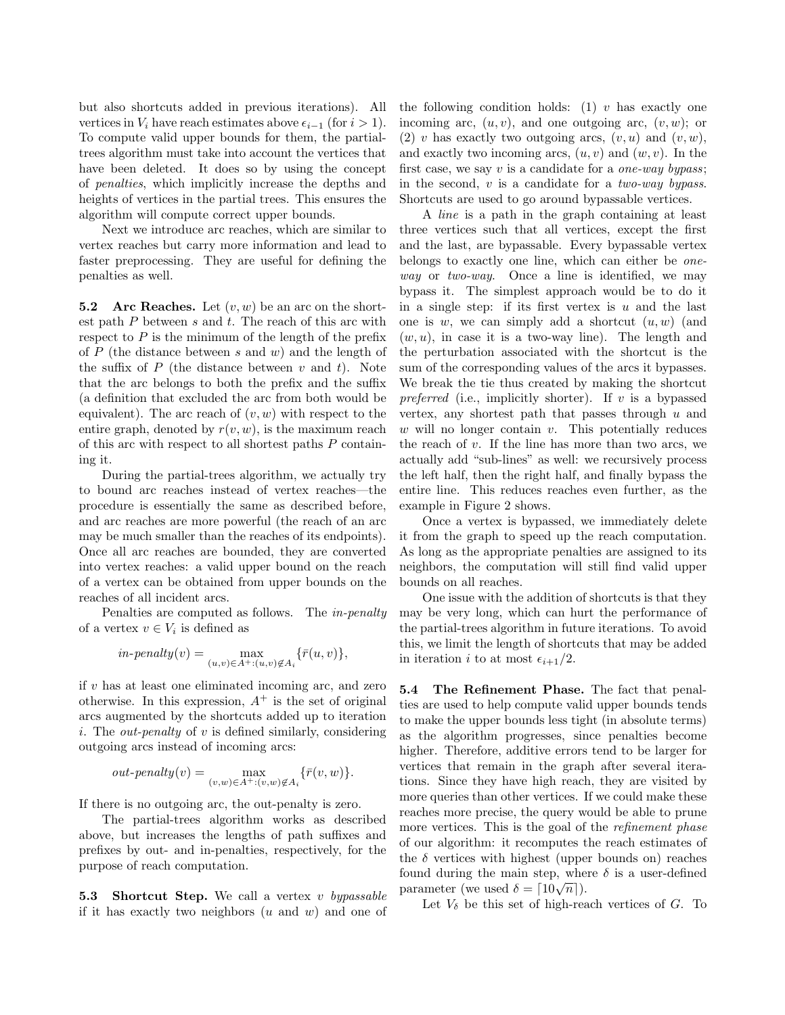but also shortcuts added in previous iterations). All vertices in  $V_i$  have reach estimates above  $\epsilon_{i-1}$  (for  $i > 1$ ). To compute valid upper bounds for them, the partialtrees algorithm must take into account the vertices that have been deleted. It does so by using the concept of penalties, which implicitly increase the depths and heights of vertices in the partial trees. This ensures the algorithm will compute correct upper bounds.

Next we introduce arc reaches, which are similar to vertex reaches but carry more information and lead to faster preprocessing. They are useful for defining the penalties as well.

**5.2** Arc Reaches. Let  $(v, w)$  be an arc on the shortest path  $P$  between  $s$  and  $t$ . The reach of this arc with respect to  $P$  is the minimum of the length of the prefix of  $P$  (the distance between  $s$  and  $w$ ) and the length of the suffix of  $P$  (the distance between  $v$  and  $t$ ). Note that the arc belongs to both the prefix and the suffix (a definition that excluded the arc from both would be equivalent). The arc reach of  $(v, w)$  with respect to the entire graph, denoted by  $r(v, w)$ , is the maximum reach of this arc with respect to all shortest paths P containing it.

During the partial-trees algorithm, we actually try to bound arc reaches instead of vertex reaches—the procedure is essentially the same as described before, and arc reaches are more powerful (the reach of an arc may be much smaller than the reaches of its endpoints). Once all arc reaches are bounded, they are converted into vertex reaches: a valid upper bound on the reach of a vertex can be obtained from upper bounds on the reaches of all incident arcs.

Penalties are computed as follows. The in-penalty of a vertex  $v \in V_i$  is defined as

$$
in\text{-}penalty(v) = \max_{(u,v)\in A^+:(u,v)\not\in A_i} \{ \bar{r}(u,v) \},
$$

if v has at least one eliminated incoming arc, and zero otherwise. In this expression,  $A^+$  is the set of original arcs augmented by the shortcuts added up to iteration i. The *out-penalty* of  $v$  is defined similarly, considering outgoing arcs instead of incoming arcs:

$$
out-penalty(v) = \max_{(v,w) \in A^+:(v,w) \notin A_i} {\{\bar{r}(v,w)\}}.
$$

If there is no outgoing arc, the out-penalty is zero.

The partial-trees algorithm works as described above, but increases the lengths of path suffixes and prefixes by out- and in-penalties, respectively, for the purpose of reach computation.

5.3 Shortcut Step. We call a vertex  $v$  bypassable if it has exactly two neighbors  $(u \text{ and } w)$  and one of the following condition holds: (1) v has exactly one incoming arc,  $(u, v)$ , and one outgoing arc,  $(v, w)$ ; or (2) v has exactly two outgoing arcs,  $(v, u)$  and  $(v, w)$ , and exactly two incoming arcs,  $(u, v)$  and  $(w, v)$ . In the first case, we say  $v$  is a candidate for a *one-way bypass*; in the second,  $v$  is a candidate for a *two-way bypass*. Shortcuts are used to go around bypassable vertices.

A line is a path in the graph containing at least three vertices such that all vertices, except the first and the last, are bypassable. Every bypassable vertex belongs to exactly one line, which can either be oneway or two-way. Once a line is identified, we may bypass it. The simplest approach would be to do it in a single step: if its first vertex is  $u$  and the last one is w, we can simply add a shortcut  $(u, w)$  (and  $(w, u)$ , in case it is a two-way line). The length and the perturbation associated with the shortcut is the sum of the corresponding values of the arcs it bypasses. We break the tie thus created by making the shortcut preferred (i.e., implicitly shorter). If v is a bypassed vertex, any shortest path that passes through  $u$  and w will no longer contain  $v$ . This potentially reduces the reach of  $v$ . If the line has more than two arcs, we actually add "sub-lines" as well: we recursively process the left half, then the right half, and finally bypass the entire line. This reduces reaches even further, as the example in Figure 2 shows.

Once a vertex is bypassed, we immediately delete it from the graph to speed up the reach computation. As long as the appropriate penalties are assigned to its neighbors, the computation will still find valid upper bounds on all reaches.

One issue with the addition of shortcuts is that they may be very long, which can hurt the performance of the partial-trees algorithm in future iterations. To avoid this, we limit the length of shortcuts that may be added in iteration *i* to at most  $\epsilon_{i+1}/2$ .

5.4 The Refinement Phase. The fact that penalties are used to help compute valid upper bounds tends to make the upper bounds less tight (in absolute terms) as the algorithm progresses, since penalties become higher. Therefore, additive errors tend to be larger for vertices that remain in the graph after several iterations. Since they have high reach, they are visited by more queries than other vertices. If we could make these reaches more precise, the query would be able to prune more vertices. This is the goal of the *refinement phase* of our algorithm: it recomputes the reach estimates of the  $\delta$  vertices with highest (upper bounds on) reaches found during the main step, where  $\delta$  is a user-defined parameter (we used  $\delta = \lceil 10\sqrt{n} \rceil$ ).

Let  $V_{\delta}$  be this set of high-reach vertices of G. To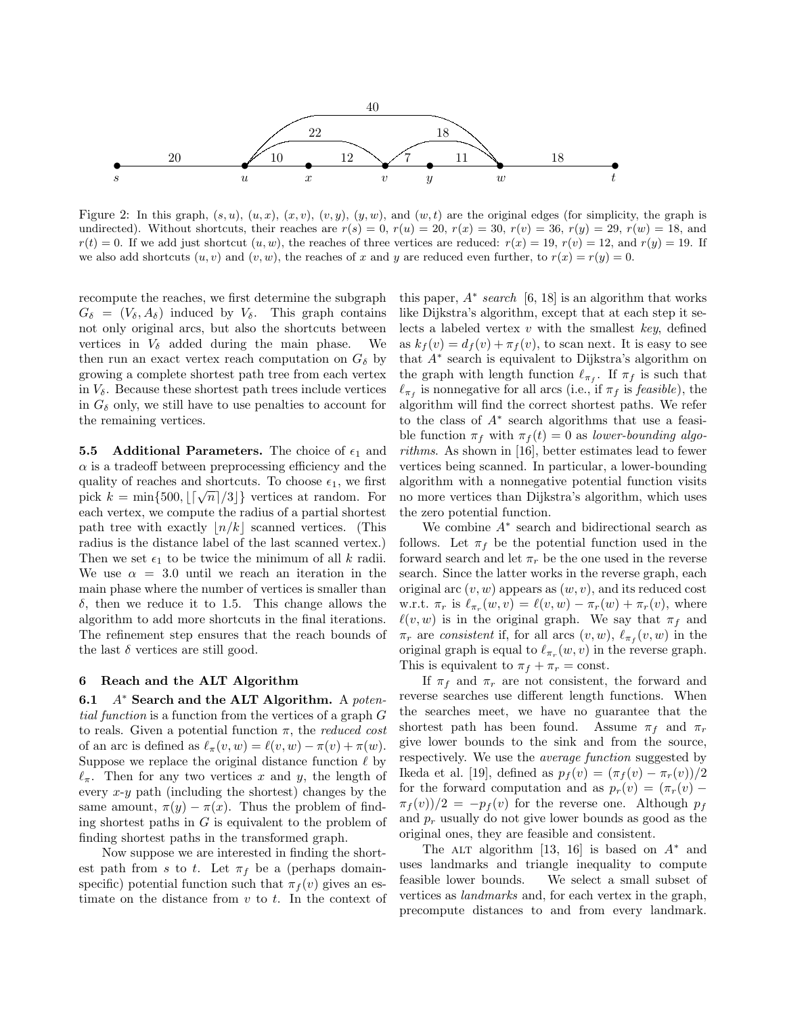

Figure 2: In this graph,  $(s, u)$ ,  $(u, x)$ ,  $(x, v)$ ,  $(v, y)$ ,  $(y, w)$ , and  $(w, t)$  are the original edges (for simplicity, the graph is undirected). Without shortcuts, their reaches are  $r(s) = 0$ ,  $r(u) = 20$ ,  $r(x) = 30$ ,  $r(v) = 36$ ,  $r(y) = 29$ ,  $r(w) = 18$ , and  $r(t) = 0$ . If we add just shortcut  $(u, w)$ , the reaches of three vertices are reduced:  $r(x) = 19$ ,  $r(v) = 12$ , and  $r(y) = 19$ . If we also add shortcuts  $(u, v)$  and  $(v, w)$ , the reaches of x and y are reduced even further, to  $r(x) = r(y) = 0$ .

recompute the reaches, we first determine the subgraph  $G_{\delta} = (V_{\delta}, A_{\delta})$  induced by  $V_{\delta}$ . This graph contains not only original arcs, but also the shortcuts between vertices in  $V_{\delta}$  added during the main phase. We then run an exact vertex reach computation on  $G_{\delta}$  by growing a complete shortest path tree from each vertex in  $V_{\delta}$ . Because these shortest path trees include vertices in  $G_{\delta}$  only, we still have to use penalties to account for the remaining vertices.

5.5 Additional Parameters. The choice of  $\epsilon_1$  and  $\alpha$  is a tradeoff between preprocessing efficiency and the quality of reaches and shortcuts. To choose  $\epsilon_1$ , we first pick  $k = \min\{500, \lfloor\lceil\sqrt{n}\rceil/3\rfloor\}$  vertices at random. For each vertex, we compute the radius of a partial shortest path tree with exactly  $\lfloor n/k \rfloor$  scanned vertices. (This radius is the distance label of the last scanned vertex.) Then we set  $\epsilon_1$  to be twice the minimum of all k radii. We use  $\alpha = 3.0$  until we reach an iteration in the main phase where the number of vertices is smaller than  $\delta$ , then we reduce it to 1.5. This change allows the algorithm to add more shortcuts in the final iterations. The refinement step ensures that the reach bounds of the last  $\delta$  vertices are still good.

#### 6 Reach and the ALT Algorithm

6.1  $A^*$  Search and the ALT Algorithm. A potential function is a function from the vertices of a graph G to reals. Given a potential function  $\pi$ , the *reduced cost* of an arc is defined as  $\ell_{\pi}(v, w) = \ell(v, w) - \pi(v) + \pi(w)$ . Suppose we replace the original distance function  $\ell$  by  $\ell_{\pi}$ . Then for any two vertices x and y, the length of every  $x-y$  path (including the shortest) changes by the same amount,  $\pi(y) - \pi(x)$ . Thus the problem of finding shortest paths in  $G$  is equivalent to the problem of finding shortest paths in the transformed graph.

Now suppose we are interested in finding the shortest path from s to t. Let  $\pi_f$  be a (perhaps domainspecific) potential function such that  $\pi_f(v)$  gives an estimate on the distance from  $v$  to  $t$ . In the context of

this paper,  $A^*$  search [6, 18] is an algorithm that works like Dijkstra's algorithm, except that at each step it selects a labeled vertex  $v$  with the smallest key, defined as  $k_f(v) = d_f(v) + \pi_f(v)$ , to scan next. It is easy to see that A<sup>∗</sup> search is equivalent to Dijkstra's algorithm on the graph with length function  $\ell_{\pi_f}$ . If  $\pi_f$  is such that  $\ell_{\pi_f}$  is nonnegative for all arcs (i.e., if  $\pi_f$  is *feasible*), the algorithm will find the correct shortest paths. We refer to the class of A<sup>∗</sup> search algorithms that use a feasible function  $\pi_f$  with  $\pi_f(t) = 0$  as lower-bounding algorithms. As shown in [16], better estimates lead to fewer vertices being scanned. In particular, a lower-bounding algorithm with a nonnegative potential function visits no more vertices than Dijkstra's algorithm, which uses the zero potential function.

We combine A<sup>∗</sup> search and bidirectional search as follows. Let  $\pi_f$  be the potential function used in the forward search and let  $\pi_r$  be the one used in the reverse search. Since the latter works in the reverse graph, each original arc  $(v, w)$  appears as  $(w, v)$ , and its reduced cost w.r.t.  $\pi_r$  is  $\ell_{\pi_r}(w, v) = \ell(v, w) - \pi_r(w) + \pi_r(v)$ , where  $\ell(v, w)$  is in the original graph. We say that  $\pi_f$  and  $\pi_r$  are consistent if, for all arcs  $(v, w)$ ,  $\ell_{\pi_f}(v, w)$  in the original graph is equal to  $\ell_{\pi_r}(w, v)$  in the reverse graph. This is equivalent to  $\pi_f + \pi_r = \text{const.}$ 

If  $\pi_f$  and  $\pi_r$  are not consistent, the forward and reverse searches use different length functions. When the searches meet, we have no guarantee that the shortest path has been found. Assume  $\pi_f$  and  $\pi_r$ give lower bounds to the sink and from the source, respectively. We use the average function suggested by Ikeda et al. [19], defined as  $p_f(v) = (\pi_f(v) - \pi_r(v))/2$ for the forward computation and as  $p_r(v) = (\pi_r(v) \pi_f(v)/2 = -p_f(v)$  for the reverse one. Although  $p_f$ and  $p_r$  usually do not give lower bounds as good as the original ones, they are feasible and consistent.

The ALT algorithm [13, 16] is based on  $A^*$  and uses landmarks and triangle inequality to compute feasible lower bounds. We select a small subset of vertices as landmarks and, for each vertex in the graph, precompute distances to and from every landmark.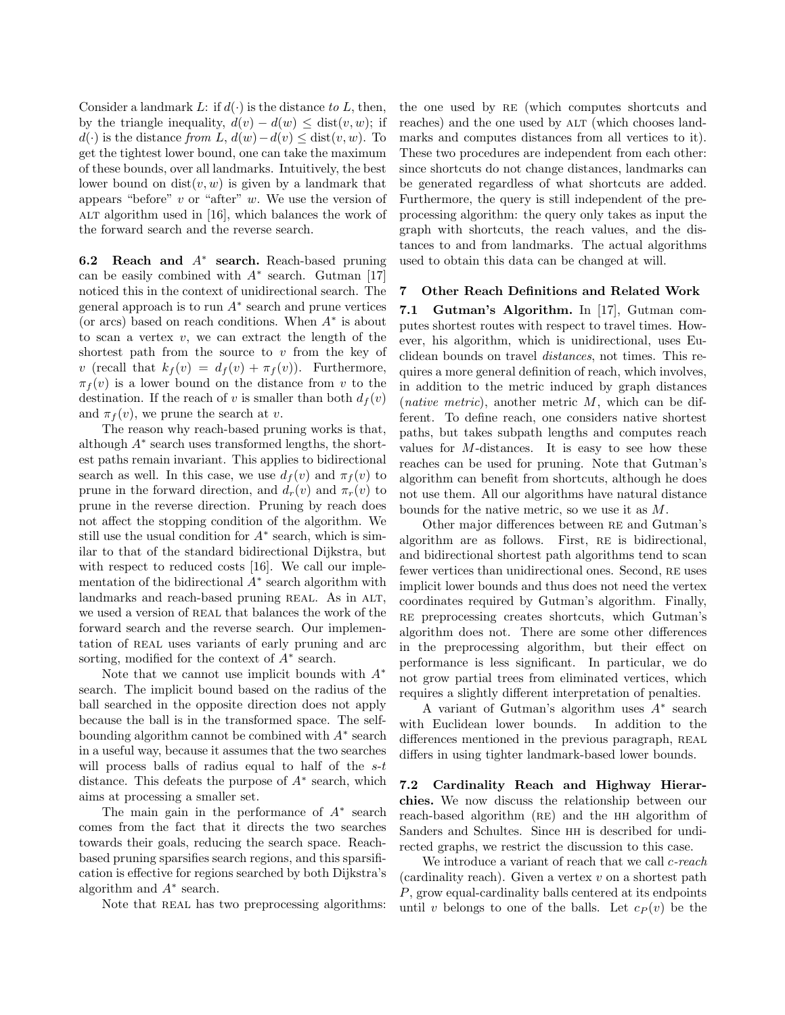Consider a landmark L: if  $d(\cdot)$  is the distance to L, then, by the triangle inequality,  $d(v) - d(w) \leq \text{dist}(v, w)$ ; if  $d(\cdot)$  is the distance from L,  $d(w)-d(v) \leq \text{dist}(v, w)$ . To get the tightest lower bound, one can take the maximum of these bounds, over all landmarks. Intuitively, the best lower bound on  $dist(v, w)$  is given by a landmark that appears "before"  $v$  or "after"  $w$ . We use the version of alt algorithm used in [16], which balances the work of the forward search and the reverse search.

6.2 Reach and  $A^*$  search. Reach-based pruning can be easily combined with  $A^*$  search. Gutman [17] noticed this in the context of unidirectional search. The general approach is to run  $A^*$  search and prune vertices (or arcs) based on reach conditions. When  $A^*$  is about to scan a vertex  $v$ , we can extract the length of the shortest path from the source to  $v$  from the key of v (recall that  $k_f(v) = d_f(v) + \pi_f(v)$ ). Furthermore,  $\pi_f(v)$  is a lower bound on the distance from v to the destination. If the reach of v is smaller than both  $d_f(v)$ and  $\pi_f(v)$ , we prune the search at v.

The reason why reach-based pruning works is that, although A<sup>∗</sup> search uses transformed lengths, the shortest paths remain invariant. This applies to bidirectional search as well. In this case, we use  $d_f(v)$  and  $\pi_f(v)$  to prune in the forward direction, and  $d_r(v)$  and  $\pi_r(v)$  to prune in the reverse direction. Pruning by reach does not affect the stopping condition of the algorithm. We still use the usual condition for  $A^*$  search, which is similar to that of the standard bidirectional Dijkstra, but with respect to reduced costs [16]. We call our implementation of the bidirectional A<sup>∗</sup> search algorithm with landmarks and reach-based pruning REAL. As in ALT, we used a version of REAL that balances the work of the forward search and the reverse search. Our implementation of REAL uses variants of early pruning and arc sorting, modified for the context of  $A^*$  search.

Note that we cannot use implicit bounds with  $A^*$ search. The implicit bound based on the radius of the ball searched in the opposite direction does not apply because the ball is in the transformed space. The selfbounding algorithm cannot be combined with  $A^*$  search in a useful way, because it assumes that the two searches will process balls of radius equal to half of the  $s-t$ distance. This defeats the purpose of A<sup>∗</sup> search, which aims at processing a smaller set.

The main gain in the performance of  $A^*$  search comes from the fact that it directs the two searches towards their goals, reducing the search space. Reachbased pruning sparsifies search regions, and this sparsification is effective for regions searched by both Dijkstra's algorithm and  $A^*$  search.

Note that REAL has two preprocessing algorithms:

the one used by re (which computes shortcuts and reaches) and the one used by ALT (which chooses landmarks and computes distances from all vertices to it). These two procedures are independent from each other: since shortcuts do not change distances, landmarks can be generated regardless of what shortcuts are added. Furthermore, the query is still independent of the preprocessing algorithm: the query only takes as input the graph with shortcuts, the reach values, and the distances to and from landmarks. The actual algorithms used to obtain this data can be changed at will.

# 7 Other Reach Definitions and Related Work

7.1 Gutman's Algorithm. In [17], Gutman computes shortest routes with respect to travel times. However, his algorithm, which is unidirectional, uses Euclidean bounds on travel distances, not times. This requires a more general definition of reach, which involves, in addition to the metric induced by graph distances (*native metric*), another metric  $M$ , which can be different. To define reach, one considers native shortest paths, but takes subpath lengths and computes reach values for  $M$ -distances. It is easy to see how these reaches can be used for pruning. Note that Gutman's algorithm can benefit from shortcuts, although he does not use them. All our algorithms have natural distance bounds for the native metric, so we use it as M.

Other major differences between re and Gutman's algorithm are as follows. First, re is bidirectional, and bidirectional shortest path algorithms tend to scan fewer vertices than unidirectional ones. Second, RE uses implicit lower bounds and thus does not need the vertex coordinates required by Gutman's algorithm. Finally, re preprocessing creates shortcuts, which Gutman's algorithm does not. There are some other differences in the preprocessing algorithm, but their effect on performance is less significant. In particular, we do not grow partial trees from eliminated vertices, which requires a slightly different interpretation of penalties.

A variant of Gutman's algorithm uses A<sup>∗</sup> search with Euclidean lower bounds. In addition to the differences mentioned in the previous paragraph, REAL differs in using tighter landmark-based lower bounds.

7.2 Cardinality Reach and Highway Hierarchies. We now discuss the relationship between our reach-based algorithm (RE) and the HH algorithm of Sanders and Schultes. Since hh is described for undirected graphs, we restrict the discussion to this case.

We introduce a variant of reach that we call *c-reach* (cardinality reach). Given a vertex  $v$  on a shortest path P, grow equal-cardinality balls centered at its endpoints until v belongs to one of the balls. Let  $c_P(v)$  be the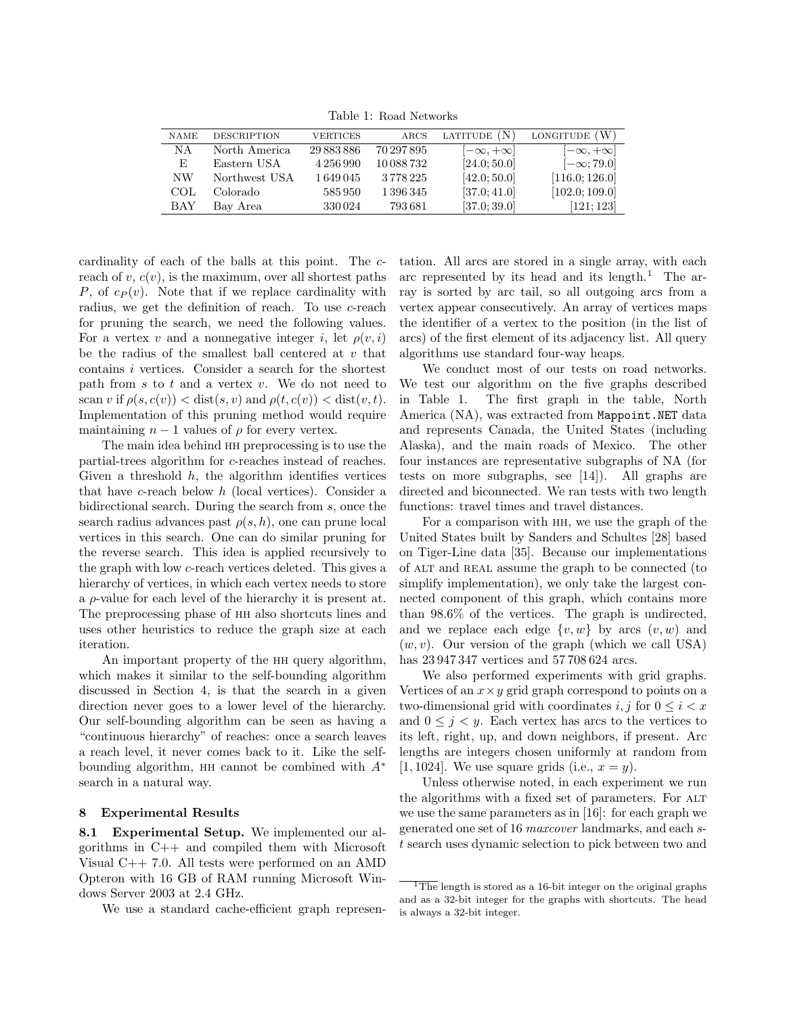Table 1: Road Networks

| <b>NAME</b> | <b>DESCRIPTION</b> | <b>VERTICES</b> | ARCS       | LATITUDE (N)         | LONGITUDE $(W)$                |
|-------------|--------------------|-----------------|------------|----------------------|--------------------------------|
| ΝA          | North America      | 29 883 886      | 70 297 895 | $[-\infty, +\infty]$ | $\left[-\infty,+\infty\right[$ |
| E           | Eastern USA        | 4 2 5 6 9 9 0   | 10 088 732 | [24.0; 50.0]         | $[-\infty; 79.0]$              |
| NW          | Northwest USA      | 1649045         | 3 778 225  | [42.0; 50.0]         | [116.0; 126.0]                 |
| COL.        | Colorado           | 585950          | 1 396 345  | [37.0; 41.0]         | [102.0; 109.0]                 |
| BAY         | Bay Area           | 330024          | 793681     | [37.0; 39.0]         | [121; 123]                     |
|             |                    |                 |            |                      |                                |

cardinality of each of the balls at this point. The creach of v,  $c(v)$ , is the maximum, over all shortest paths P, of  $c_P(v)$ . Note that if we replace cardinality with radius, we get the definition of reach. To use c-reach for pruning the search, we need the following values. For a vertex v and a nonnegative integer i, let  $\rho(v,i)$ be the radius of the smallest ball centered at  $v$  that contains i vertices. Consider a search for the shortest path from  $s$  to  $t$  and a vertex  $v$ . We do not need to scan v if  $\rho(s, c(v)) < \text{dist}(s, v)$  and  $\rho(t, c(v)) < \text{dist}(v, t)$ . Implementation of this pruning method would require maintaining  $n - 1$  values of  $\rho$  for every vertex.

The main idea behind hh preprocessing is to use the partial-trees algorithm for c-reaches instead of reaches. Given a threshold  $h$ , the algorithm identifies vertices that have  $c$ -reach below  $h$  (local vertices). Consider a bidirectional search. During the search from s, once the search radius advances past  $\rho(s, h)$ , one can prune local vertices in this search. One can do similar pruning for the reverse search. This idea is applied recursively to the graph with low c-reach vertices deleted. This gives a hierarchy of vertices, in which each vertex needs to store a  $\rho$ -value for each level of the hierarchy it is present at. The preprocessing phase of hh also shortcuts lines and uses other heuristics to reduce the graph size at each iteration.

An important property of the hh query algorithm, which makes it similar to the self-bounding algorithm discussed in Section 4, is that the search in a given direction never goes to a lower level of the hierarchy. Our self-bounding algorithm can be seen as having a "continuous hierarchy" of reaches: once a search leaves a reach level, it never comes back to it. Like the selfbounding algorithm, HH cannot be combined with  $A^*$ search in a natural way.

## 8 Experimental Results

8.1 Experimental Setup. We implemented our algorithms in C++ and compiled them with Microsoft Visual C++ 7.0. All tests were performed on an AMD Opteron with 16 GB of RAM running Microsoft Windows Server 2003 at 2.4 GHz.

We use a standard cache-efficient graph represen-

tation. All arcs are stored in a single array, with each arc represented by its head and its length.<sup>1</sup> The array is sorted by arc tail, so all outgoing arcs from a vertex appear consecutively. An array of vertices maps the identifier of a vertex to the position (in the list of arcs) of the first element of its adjacency list. All query algorithms use standard four-way heaps.

We conduct most of our tests on road networks. We test our algorithm on the five graphs described in Table 1. The first graph in the table, North America (NA), was extracted from Mappoint.NET data and represents Canada, the United States (including Alaska), and the main roads of Mexico. The other four instances are representative subgraphs of NA (for tests on more subgraphs, see [14]). All graphs are directed and biconnected. We ran tests with two length functions: travel times and travel distances.

For a comparison with hh, we use the graph of the United States built by Sanders and Schultes [28] based on Tiger-Line data [35]. Because our implementations of alt and real assume the graph to be connected (to simplify implementation), we only take the largest connected component of this graph, which contains more than 98.6% of the vertices. The graph is undirected, and we replace each edge  $\{v, w\}$  by arcs  $(v, w)$  and  $(w, v)$ . Our version of the graph (which we call USA) has 23 947 347 vertices and 57 708 624 arcs.

We also performed experiments with grid graphs. Vertices of an  $x \times y$  grid graph correspond to points on a two-dimensional grid with coordinates i, j for  $0 \leq i < x$ and  $0 \leq j \leq y$ . Each vertex has arcs to the vertices to its left, right, up, and down neighbors, if present. Arc lengths are integers chosen uniformly at random from [1, 1024]. We use square grids (i.e.,  $x = y$ ).

Unless otherwise noted, in each experiment we run the algorithms with a fixed set of parameters. For ALT we use the same parameters as in [16]: for each graph we generated one set of 16 maxcover landmarks, and each st search uses dynamic selection to pick between two and

 $\overline{^{1}$ The length is stored as a 16-bit integer on the original graphs and as a 32-bit integer for the graphs with shortcuts. The head is always a 32-bit integer.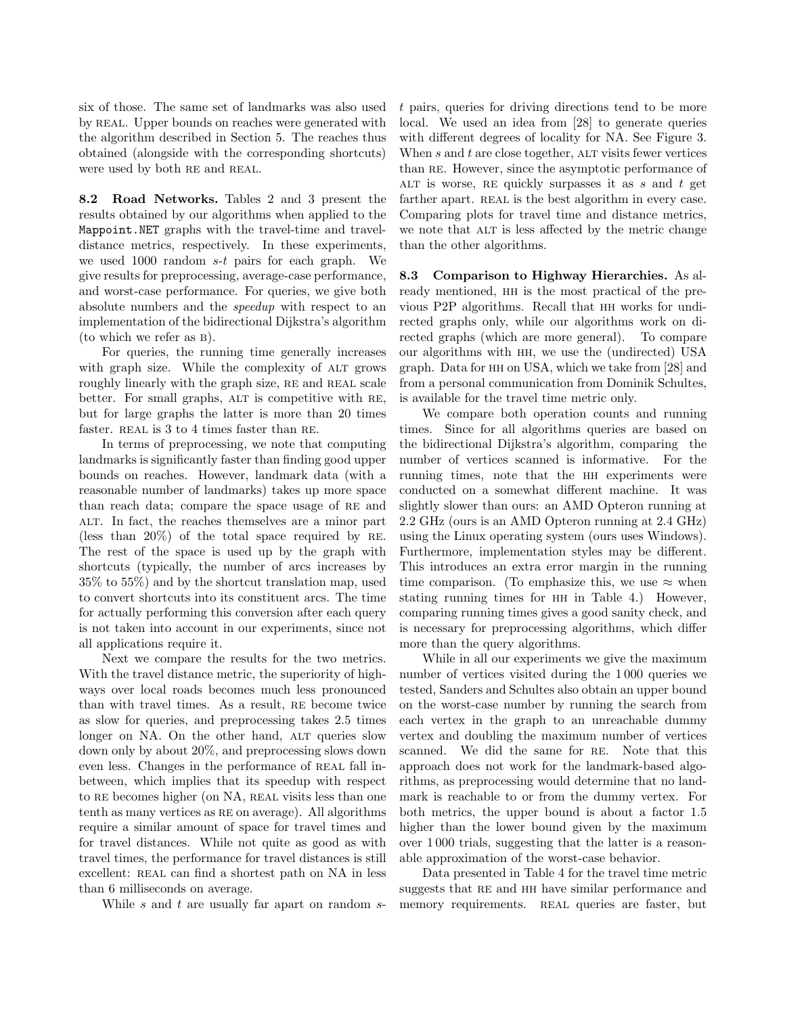six of those. The same set of landmarks was also used by REAL. Upper bounds on reaches were generated with the algorithm described in Section 5. The reaches thus obtained (alongside with the corresponding shortcuts) were used by both RE and REAL.

8.2 Road Networks. Tables 2 and 3 present the results obtained by our algorithms when applied to the Mappoint.NET graphs with the travel-time and traveldistance metrics, respectively. In these experiments, we used 1000 random s-t pairs for each graph. We give results for preprocessing, average-case performance, and worst-case performance. For queries, we give both absolute numbers and the speedup with respect to an implementation of the bidirectional Dijkstra's algorithm (to which we refer as b).

For queries, the running time generally increases with graph size. While the complexity of ALT grows roughly linearly with the graph size, RE and REAL scale better. For small graphs, ALT is competitive with RE, but for large graphs the latter is more than 20 times faster. REAL is 3 to 4 times faster than RE.

In terms of preprocessing, we note that computing landmarks is significantly faster than finding good upper bounds on reaches. However, landmark data (with a reasonable number of landmarks) takes up more space than reach data; compare the space usage of re and alt. In fact, the reaches themselves are a minor part (less than  $20\%$ ) of the total space required by RE. The rest of the space is used up by the graph with shortcuts (typically, the number of arcs increases by 35% to 55%) and by the shortcut translation map, used to convert shortcuts into its constituent arcs. The time for actually performing this conversion after each query is not taken into account in our experiments, since not all applications require it.

Next we compare the results for the two metrics. With the travel distance metric, the superiority of highways over local roads becomes much less pronounced than with travel times. As a result, RE become twice as slow for queries, and preprocessing takes 2.5 times longer on NA. On the other hand, ALT queries slow down only by about 20%, and preprocessing slows down even less. Changes in the performance of REAL fall inbetween, which implies that its speedup with respect to RE becomes higher (on NA, REAL visits less than one tenth as many vertices as re on average). All algorithms require a similar amount of space for travel times and for travel distances. While not quite as good as with travel times, the performance for travel distances is still excellent: REAL can find a shortest path on NA in less than 6 milliseconds on average.

While  $s$  and  $t$  are usually far apart on random  $s$ -

t pairs, queries for driving directions tend to be more local. We used an idea from [28] to generate queries with different degrees of locality for NA. See Figure 3. When  $s$  and  $t$  are close together,  $\Lambda$ LT visits fewer vertices than RE. However, since the asymptotic performance of ALT is worse, RE quickly surpasses it as  $s$  and  $t$  get farther apart. REAL is the best algorithm in every case. Comparing plots for travel time and distance metrics, we note that ALT is less affected by the metric change than the other algorithms.

8.3 Comparison to Highway Hierarchies. As already mentioned, HH is the most practical of the previous P2P algorithms. Recall that hh works for undirected graphs only, while our algorithms work on directed graphs (which are more general). To compare our algorithms with hh, we use the (undirected) USA graph. Data for hh on USA, which we take from [28] and from a personal communication from Dominik Schultes, is available for the travel time metric only.

We compare both operation counts and running times. Since for all algorithms queries are based on the bidirectional Dijkstra's algorithm, comparing the number of vertices scanned is informative. For the running times, note that the hh experiments were conducted on a somewhat different machine. It was slightly slower than ours: an AMD Opteron running at 2.2 GHz (ours is an AMD Opteron running at 2.4 GHz) using the Linux operating system (ours uses Windows). Furthermore, implementation styles may be different. This introduces an extra error margin in the running time comparison. (To emphasize this, we use  $\approx$  when stating running times for hh in Table 4.) However, comparing running times gives a good sanity check, and is necessary for preprocessing algorithms, which differ more than the query algorithms.

While in all our experiments we give the maximum number of vertices visited during the 1 000 queries we tested, Sanders and Schultes also obtain an upper bound on the worst-case number by running the search from each vertex in the graph to an unreachable dummy vertex and doubling the maximum number of vertices scanned. We did the same for RE. Note that this approach does not work for the landmark-based algorithms, as preprocessing would determine that no landmark is reachable to or from the dummy vertex. For both metrics, the upper bound is about a factor 1.5 higher than the lower bound given by the maximum over 1 000 trials, suggesting that the latter is a reasonable approximation of the worst-case behavior.

Data presented in Table 4 for the travel time metric suggests that RE and HH have similar performance and memory requirements. REAL queries are faster, but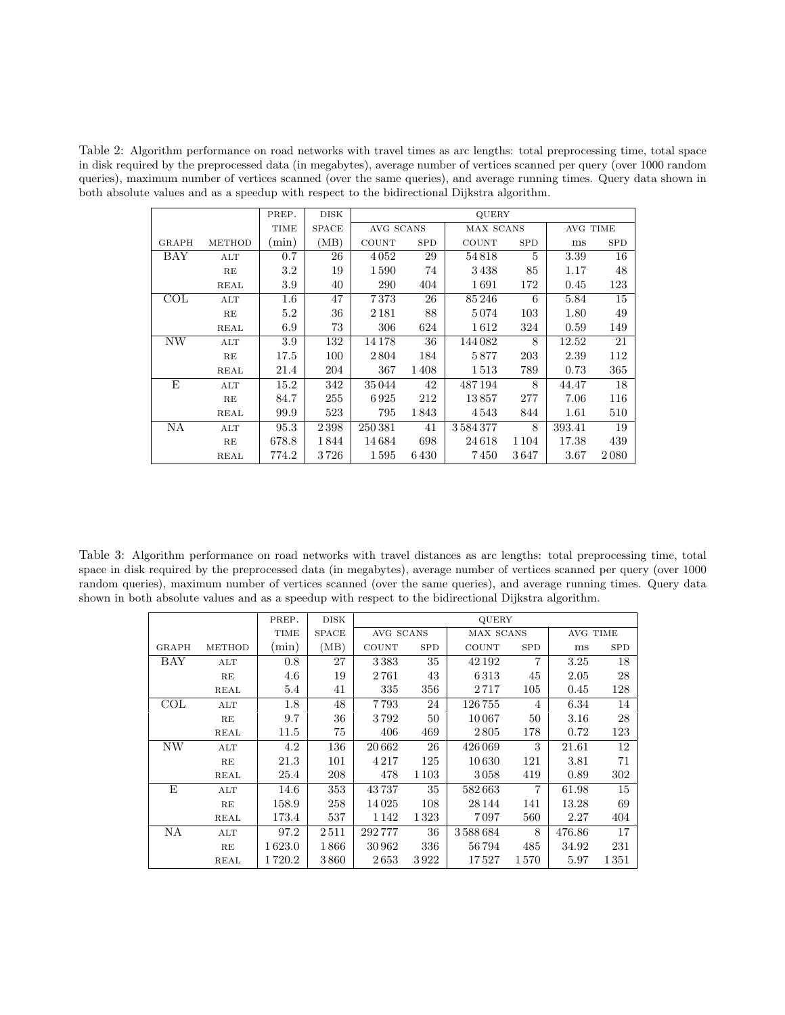Table 2: Algorithm performance on road networks with travel times as arc lengths: total preprocessing time, total space in disk required by the preprocessed data (in megabytes), average number of vertices scanned per query (over 1000 random queries), maximum number of vertices scanned (over the same queries), and average running times. Query data shown in both absolute values and as a speedup with respect to the bidirectional Dijkstra algorithm.

|              |               | PREP.    | <b>DISK</b>  | <b>QUERY</b> |            |              |            |          |            |  |
|--------------|---------------|----------|--------------|--------------|------------|--------------|------------|----------|------------|--|
|              |               | TIME     | <b>SPACE</b> | AVG SCANS    |            | MAX SCANS    |            | AVG TIME |            |  |
| <b>GRAPH</b> | <b>METHOD</b> | $(\min)$ | (MB)         | <b>COUNT</b> | <b>SPD</b> | <b>COUNT</b> | <b>SPD</b> | ms       | <b>SPD</b> |  |
| <b>BAY</b>   | ALT           | 0.7      | 26           | 4052         | 29         | 54818        | 5          | 3.39     | 16         |  |
|              | RE            | $3.2\,$  | 19           | 1590         | 74         | 3438         | 85         | 1.17     | 48         |  |
|              | REAL          | 3.9      | 40           | 290          | 404        | 1691         | 172        | 0.45     | 123        |  |
| COL          | ALT           | 1.6      | 47           | 7373         | 26         | 85246        | 6          | 5.84     | 15         |  |
|              | RE            | $5.2\,$  | 36           | 2 1 8 1      | 88         | 5074         | 103        | 1.80     | 49         |  |
|              | REAL          | 6.9      | 73           | 306          | 624        | 1612         | 324        | 0.59     | 149        |  |
| <b>NW</b>    | ALT           | 3.9      | 132          | 14 178       | 36         | 144082       | 8          | 12.52    | 21         |  |
|              | RE            | 17.5     | 100          | 2804         | 184        | 5877         | 203        | 2.39     | 112        |  |
|              | REAL          | 21.4     | 204          | 367          | 1408       | 1513         | 789        | 0.73     | 365        |  |
| E            | ALT           | 15.2     | 342          | 35044        | 42         | 487194       | 8          | 44.47    | 18         |  |
|              | RE            | 84.7     | 255          | 6925         | 212        | 13857        | 277        | 7.06     | 116        |  |
|              | REAL          | 99.9     | 523          | 795          | 1843       | 4543         | 844        | 1.61     | 510        |  |
| <b>NA</b>    | ALT           | 95.3     | 2398         | 250381       | 41         | 3584377      | 8          | 393.41   | 19         |  |
|              | RE            | 678.8    | 1844         | 14684        | 698        | 24618        | 1 1 0 4    | 17.38    | 439        |  |
|              | <b>REAL</b>   | 774.2    | 3726         | 1595         | 6430       | 7450         | 3647       | 3.67     | 2080       |  |

Table 3: Algorithm performance on road networks with travel distances as arc lengths: total preprocessing time, total space in disk required by the preprocessed data (in megabytes), average number of vertices scanned per query (over 1000 random queries), maximum number of vertices scanned (over the same queries), and average running times. Query data shown in both absolute values and as a speedup with respect to the bidirectional Dijkstra algorithm.

|              |               | PREP.       | <b>DISK</b>  |              |            | <b>QUERY</b> |            |          |            |
|--------------|---------------|-------------|--------------|--------------|------------|--------------|------------|----------|------------|
|              |               | <b>TIME</b> | <b>SPACE</b> | AVG SCANS    |            | MAX SCANS    |            | AVG TIME |            |
| <b>GRAPH</b> | <b>METHOD</b> | min)        | (MB)         | <b>COUNT</b> | <b>SPD</b> | COUNT        | <b>SPD</b> | ms       | <b>SPD</b> |
| BAY          | ALT           | 0.8         | 27           | 3383         | 35         | 42 192       | 7          | 3.25     | 18         |
|              | RE            | 4.6         | 19           | 2761         | 43         | 6313         | 45         | 2.05     | 28         |
|              | <b>REAL</b>   | 5.4         | 41           | 335          | 356        | 2717         | 105        | 0.45     | 128        |
| COL          | ALT           | 1.8         | 48           | 7793         | 24         | 126 755      | 4          | 6.34     | 14         |
|              | RE            | 9.7         | 36           | 3792         | 50         | 10067        | 50         | 3.16     | 28         |
|              | <b>REAL</b>   | 11.5        | 75           | 406          | 469        | 2805         | 178        | 0.72     | 123        |
| NW           | ALT           | 4.2         | 136          | 20 662       | 26         | 426 069      | 3          | 21.61    | 12         |
|              | RE            | 21.3        | 101          | 4217         | 125        | 10630        | 121        | 3.81     | 71         |
|              | <b>REAL</b>   | 25.4        | 208          | 478          | 1 1 0 3    | 3058         | 419        | 0.89     | 302        |
| E            | ALT           | 14.6        | 353          | 43737        | 35         | 582663       | 7          | 61.98    | 15         |
|              | RE            | 158.9       | 258          | 14025        | 108        | 28 144       | 141        | 13.28    | 69         |
|              | <b>REAL</b>   | 173.4       | 537          | 1 1 4 2      | 1323       | 7097         | 560        | 2.27     | 404        |
| <b>NA</b>    | ALT           | 97.2        | 2511         | 292777       | 36         | 3588684      | 8          | 476.86   | 17         |
|              | RE            | 1623.0      | 1866         | 30962        | 336        | 56794        | 485        | 34.92    | 231        |
|              | <b>REAL</b>   | 1 720.2     | 3860         | 2653         | 3922       | 17527        | 1570       | 5.97     | 1351       |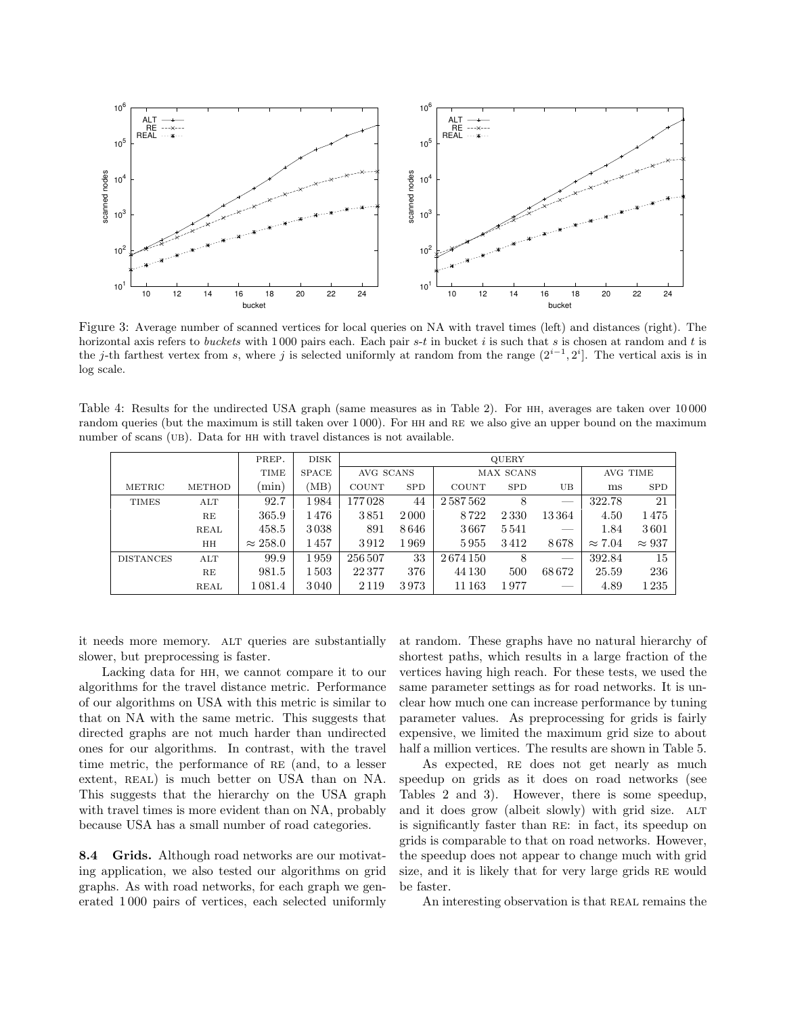

Figure 3: Average number of scanned vertices for local queries on NA with travel times (left) and distances (right). The horizontal axis refers to buckets with 1000 pairs each. Each pair s-t in bucket i is such that s is chosen at random and t is the j-th farthest vertex from s, where j is selected uniformly at random from the range  $(2^{i-1}, 2^i]$ . The vertical axis is in log scale.

Table 4: Results for the undirected USA graph (same measures as in Table 2). For hh, averages are taken over 10 000 random queries (but the maximum is still taken over 1000). For HH and RE we also give an upper bound on the maximum number of scans (UB). Data for HH with travel distances is not available.

|                  |               | PREP.           | <b>DISK</b>  | <b>QUERY</b> |            |              |            |                          |                |               |
|------------------|---------------|-----------------|--------------|--------------|------------|--------------|------------|--------------------------|----------------|---------------|
|                  |               | TIME            | <b>SPACE</b> | AVG SCANS    |            | MAX SCANS    |            |                          | AVG TIME       |               |
| METRIC           | <b>METHOD</b> | min)            | (MB)         | <b>COUNT</b> | <b>SPD</b> | <b>COUNT</b> | <b>SPD</b> | UB                       | ms             | <b>SPD</b>    |
| <b>TIMES</b>     | ALT           | 92.7            | 1984         | 177028       | 44         | 2587562      | 8          | $\overline{\phantom{a}}$ | 322.78         | 21            |
|                  | RE            | 365.9           | 1476         | 3851         | 2000       | 8722         | 2 3 3 0    | 13364                    | 4.50           | 1475          |
|                  | REAL          | 458.5           | 3038         | 891          | 8646       | 3667         | 5541       |                          | 1.84           | 3601          |
|                  | HH            | $\approx 258.0$ | 1457         | 3912         | 1969       | 5955         | 3412       | 8678                     | $\approx 7.04$ | $\approx 937$ |
| <b>DISTANCES</b> | ALT           | 99.9            | 1959         | 256507       | 33         | 2674150      | 8          | $\overline{\phantom{a}}$ | 392.84         | 15            |
|                  | RE            | 981.5           | 1503         | 22377        | 376        | 44 130       | 500        | 68672                    | 25.59          | 236           |
|                  | REAL          | 1081.4          | 3040         | 2 1 1 9      | 3973       | 11 163       | 1977       |                          | 4.89           | 1235          |

it needs more memory. ALT queries are substantially slower, but preprocessing is faster.

Lacking data for hh, we cannot compare it to our algorithms for the travel distance metric. Performance of our algorithms on USA with this metric is similar to that on NA with the same metric. This suggests that directed graphs are not much harder than undirected ones for our algorithms. In contrast, with the travel time metric, the performance of re (and, to a lesser extent, REAL) is much better on USA than on NA. This suggests that the hierarchy on the USA graph with travel times is more evident than on NA, probably because USA has a small number of road categories.

8.4 Grids. Although road networks are our motivating application, we also tested our algorithms on grid graphs. As with road networks, for each graph we generated 1 000 pairs of vertices, each selected uniformly at random. These graphs have no natural hierarchy of shortest paths, which results in a large fraction of the vertices having high reach. For these tests, we used the same parameter settings as for road networks. It is unclear how much one can increase performance by tuning parameter values. As preprocessing for grids is fairly expensive, we limited the maximum grid size to about half a million vertices. The results are shown in Table 5.

As expected, RE does not get nearly as much speedup on grids as it does on road networks (see Tables 2 and 3). However, there is some speedup, and it does grow (albeit slowly) with grid size. ALT is significantly faster than re: in fact, its speedup on grids is comparable to that on road networks. However, the speedup does not appear to change much with grid size, and it is likely that for very large grids RE would be faster.

An interesting observation is that REAL remains the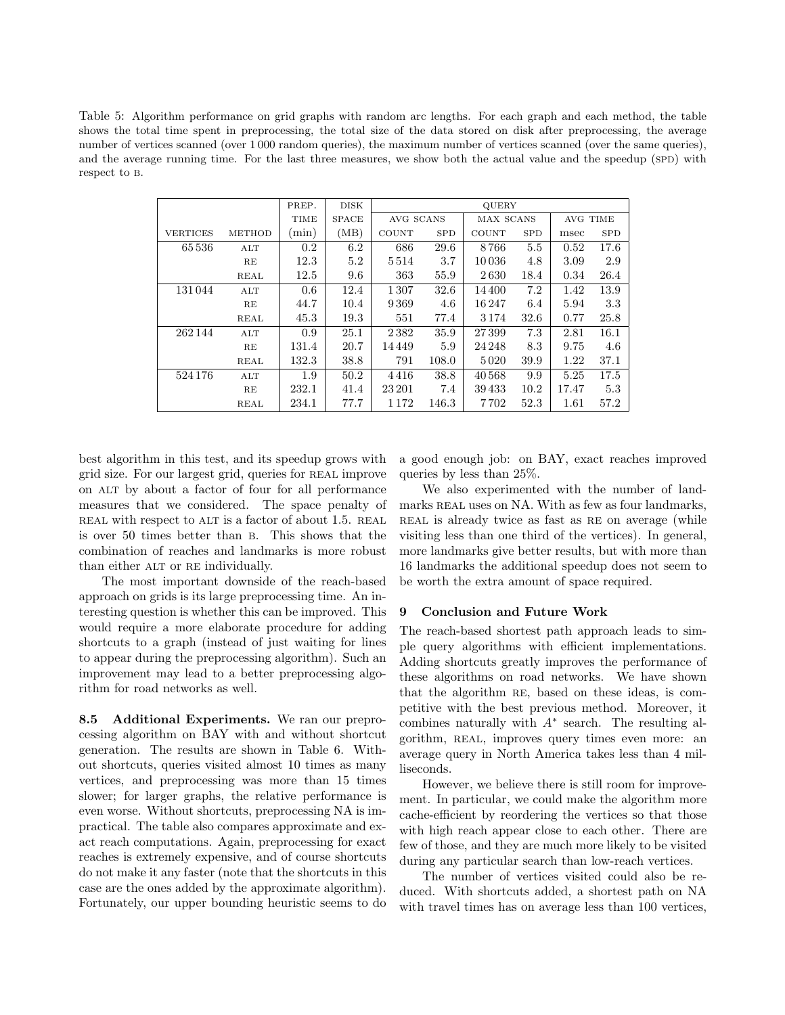Table 5: Algorithm performance on grid graphs with random arc lengths. For each graph and each method, the table shows the total time spent in preprocessing, the total size of the data stored on disk after preprocessing, the average number of vertices scanned (over 1000 random queries), the maximum number of vertices scanned (over the same queries), and the average running time. For the last three measures, we show both the actual value and the speedup (SPD) with respect to B.

|          |               | PREP. | <b>DISK</b>  | QUERY        |            |              |            |          |            |
|----------|---------------|-------|--------------|--------------|------------|--------------|------------|----------|------------|
|          |               | TIME  | <b>SPACE</b> | AVG SCANS    |            | MAX SCANS    |            | AVG TIME |            |
| VERTICES | <b>METHOD</b> | (min) | (MB)         | <b>COUNT</b> | <b>SPD</b> | <b>COUNT</b> | <b>SPD</b> | msec     | <b>SPD</b> |
| 65536    | ALT           | 0.2   | 6.2          | 686          | 29.6       | 8766         | 5.5        | 0.52     | 17.6       |
|          | RE            | 12.3  | 5.2          | 5514         | 3.7        | 10036        | 4.8        | 3.09     | 2.9        |
|          | <b>REAL</b>   | 12.5  | 9.6          | 363          | 55.9       | 2630         | 18.4       | 0.34     | 26.4       |
| 131044   | ALT           | 0.6   | 12.4         | 1307         | 32.6       | 14400        | 7.2        | 1.42     | 13.9       |
|          | RE            | 44.7  | 10.4         | 9369         | 4.6        | 16247        | 6.4        | 5.94     | 3.3        |
|          | <b>REAL</b>   | 45.3  | 19.3         | 551          | 77.4       | 3 1 7 4      | 32.6       | 0.77     | 25.8       |
| 262144   | ALT           | 0.9   | 25.1         | 2382         | 35.9       | 27399        | 7.3        | 2.81     | 16.1       |
|          | RE            | 131.4 | 20.7         | 14449        | 5.9        | 24 24 8      | 8.3        | 9.75     | 4.6        |
|          | <b>REAL</b>   | 132.3 | 38.8         | 791          | 108.0      | 5020         | 39.9       | 1.22     | 37.1       |
| 524 176  | ALT           | 1.9   | 50.2         | 4416         | 38.8       | 40 568       | 9.9        | 5.25     | 17.5       |
|          | RE            | 232.1 | 41.4         | 23 201       | 7.4        | 39433        | 10.2       | 17.47    | 5.3        |
|          | <b>REAL</b>   | 234.1 | 77.7         | 1 1 7 2      | 146.3      | 7702         | 52.3       | 1.61     | 57.2       |

best algorithm in this test, and its speedup grows with grid size. For our largest grid, queries for real improve on alt by about a factor of four for all performance measures that we considered. The space penalty of REAL with respect to ALT is a factor of about 1.5. REAL is over 50 times better than b. This shows that the combination of reaches and landmarks is more robust than either ALT or RE individually.

The most important downside of the reach-based approach on grids is its large preprocessing time. An interesting question is whether this can be improved. This would require a more elaborate procedure for adding shortcuts to a graph (instead of just waiting for lines to appear during the preprocessing algorithm). Such an improvement may lead to a better preprocessing algorithm for road networks as well.

8.5 Additional Experiments. We ran our preprocessing algorithm on BAY with and without shortcut generation. The results are shown in Table 6. Without shortcuts, queries visited almost 10 times as many vertices, and preprocessing was more than 15 times slower; for larger graphs, the relative performance is even worse. Without shortcuts, preprocessing NA is impractical. The table also compares approximate and exact reach computations. Again, preprocessing for exact reaches is extremely expensive, and of course shortcuts do not make it any faster (note that the shortcuts in this case are the ones added by the approximate algorithm). Fortunately, our upper bounding heuristic seems to do a good enough job: on BAY, exact reaches improved queries by less than 25%.

We also experimented with the number of landmarks REAL uses on NA. With as few as four landmarks, real is already twice as fast as re on average (while visiting less than one third of the vertices). In general, more landmarks give better results, but with more than 16 landmarks the additional speedup does not seem to be worth the extra amount of space required.

# 9 Conclusion and Future Work

The reach-based shortest path approach leads to simple query algorithms with efficient implementations. Adding shortcuts greatly improves the performance of these algorithms on road networks. We have shown that the algorithm re, based on these ideas, is competitive with the best previous method. Moreover, it combines naturally with  $A^*$  search. The resulting algorithm, REAL, improves query times even more: an average query in North America takes less than 4 milliseconds.

However, we believe there is still room for improvement. In particular, we could make the algorithm more cache-efficient by reordering the vertices so that those with high reach appear close to each other. There are few of those, and they are much more likely to be visited during any particular search than low-reach vertices.

The number of vertices visited could also be reduced. With shortcuts added, a shortest path on NA with travel times has on average less than 100 vertices,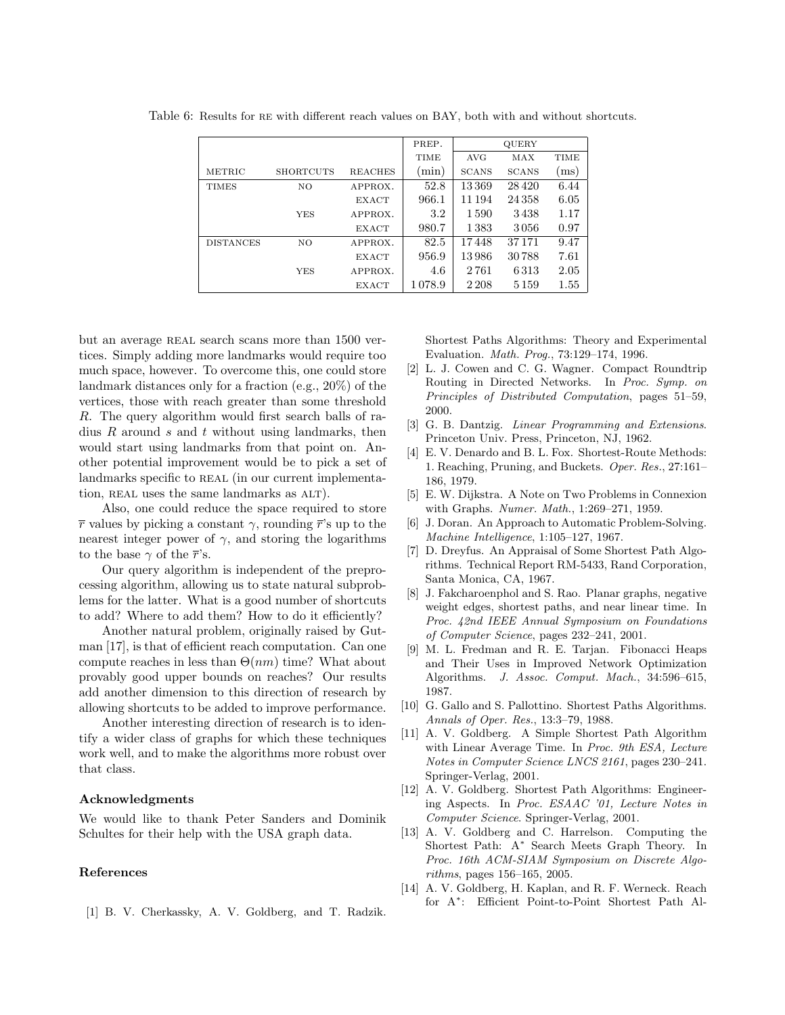|                  |                  |                | PREP.       | <b>QUERY</b> |              |             |
|------------------|------------------|----------------|-------------|--------------|--------------|-------------|
|                  |                  |                | <b>TIME</b> | <b>AVG</b>   | MAX          | <b>TIME</b> |
| METRIC           | <b>SHORTCUTS</b> | <b>REACHES</b> | min)        | <b>SCANS</b> | <b>SCANS</b> | ms)         |
| <b>TIMES</b>     | NO.              | APPROX.        | 52.8        | 13369        | 28420        | 6.44        |
|                  |                  | <b>EXACT</b>   | 966.1       | 11 194       | 24 3 5 8     | 6.05        |
|                  | <b>YES</b>       | APPROX.        | 3.2         | 1590         | 3438         | 1.17        |
|                  |                  | <b>EXACT</b>   | 980.7       | 1383         | 3056         | 0.97        |
| <b>DISTANCES</b> | NO.              | APPROX.        | 82.5        | 17448        | 37171        | 9.47        |
|                  |                  | <b>EXACT</b>   | 956.9       | 13986        | 30788        | 7.61        |
|                  | <b>YES</b>       | APPROX.        | 4.6         | 2761         | 6313         | 2.05        |
|                  |                  | <b>EXACT</b>   | 1078.9      | 2 2 0 8      | 5 1 5 9      | 1.55        |

Table 6: Results for re with different reach values on BAY, both with and without shortcuts.

but an average REAL search scans more than 1500 vertices. Simply adding more landmarks would require too much space, however. To overcome this, one could store landmark distances only for a fraction (e.g., 20%) of the vertices, those with reach greater than some threshold R. The query algorithm would first search balls of radius  $R$  around  $s$  and  $t$  without using landmarks, then would start using landmarks from that point on. Another potential improvement would be to pick a set of landmarks specific to REAL (in our current implementation, REAL uses the same landmarks as  $ALT$ ).

Also, one could reduce the space required to store  $\overline{r}$  values by picking a constant  $\gamma$ , rounding  $\overline{r}$ 's up to the nearest integer power of  $\gamma$ , and storing the logarithms to the base  $\gamma$  of the  $\overline{r}$ 's.

Our query algorithm is independent of the preprocessing algorithm, allowing us to state natural subproblems for the latter. What is a good number of shortcuts to add? Where to add them? How to do it efficiently?

Another natural problem, originally raised by Gutman [17], is that of efficient reach computation. Can one compute reaches in less than  $\Theta(nm)$  time? What about provably good upper bounds on reaches? Our results add another dimension to this direction of research by allowing shortcuts to be added to improve performance.

Another interesting direction of research is to identify a wider class of graphs for which these techniques work well, and to make the algorithms more robust over that class.

# Acknowledgments

We would like to thank Peter Sanders and Dominik Schultes for their help with the USA graph data.

# References

[1] B. V. Cherkassky, A. V. Goldberg, and T. Radzik.

Shortest Paths Algorithms: Theory and Experimental Evaluation. Math. Prog., 73:129–174, 1996.

- [2] L. J. Cowen and C. G. Wagner. Compact Roundtrip Routing in Directed Networks. In Proc. Symp. on Principles of Distributed Computation, pages 51–59, 2000.
- [3] G. B. Dantzig. Linear Programming and Extensions. Princeton Univ. Press, Princeton, NJ, 1962.
- [4] E.V. Denardo and B.L. Fox. Shortest-Route Methods: 1. Reaching, Pruning, and Buckets. Oper. Res., 27:161– 186, 1979.
- [5] E. W. Dijkstra. A Note on Two Problems in Connexion with Graphs. Numer. Math., 1:269-271, 1959.
- [6] J. Doran. An Approach to Automatic Problem-Solving. Machine Intelligence, 1:105–127, 1967.
- [7] D. Dreyfus. An Appraisal of Some Shortest Path Algorithms. Technical Report RM-5433, Rand Corporation, Santa Monica, CA, 1967.
- [8] J. Fakcharoenphol and S. Rao. Planar graphs, negative weight edges, shortest paths, and near linear time. In Proc. 42nd IEEE Annual Symposium on Foundations of Computer Science, pages 232–241, 2001.
- [9] M. L. Fredman and R. E. Tarjan. Fibonacci Heaps and Their Uses in Improved Network Optimization Algorithms. J. Assoc. Comput. Mach., 34:596–615, 1987.
- [10] G. Gallo and S. Pallottino. Shortest Paths Algorithms. Annals of Oper. Res., 13:3–79, 1988.
- [11] A. V. Goldberg. A Simple Shortest Path Algorithm with Linear Average Time. In Proc. 9th ESA, Lecture Notes in Computer Science LNCS 2161, pages 230–241. Springer-Verlag, 2001.
- [12] A. V. Goldberg. Shortest Path Algorithms: Engineering Aspects. In Proc. ESAAC '01, Lecture Notes in Computer Science. Springer-Verlag, 2001.
- [13] A. V. Goldberg and C. Harrelson. Computing the Shortest Path: A <sup>∗</sup> Search Meets Graph Theory. In Proc. 16th ACM-SIAM Symposium on Discrete Algorithms, pages 156–165, 2005.
- [14] A. V. Goldberg, H. Kaplan, and R. F. Werneck. Reach for A ∗ : Efficient Point-to-Point Shortest Path Al-